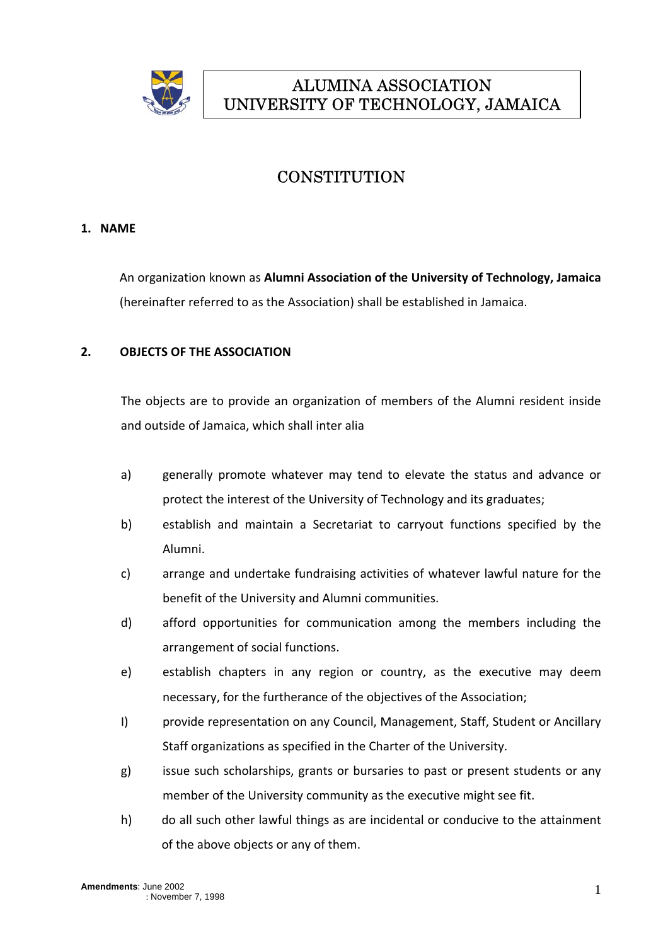

# ALUMINA ASSOCIATION UNIVERSITY OF TECHNOLOGY, JAMAICA

## **CONSTITUTION**

## **1. NAME**

An organization known as **Alumni Association of the University of Technology, Jamaica** (hereinafter referred to as the Association) shall be established in Jamaica.

## **2. OBJECTS OF THE ASSOCIATION**

The objects are to provide an organization of members of the Alumni resident inside and outside of Jamaica, which shall inter alia

- a) generally promote whatever may tend to elevate the status and advance or protect the interest of the University of Technology and its graduates;
- b) establish and maintain a Secretariat to carryout functions specified by the Alumni.
- c) arrange and undertake fundraising activities of whatever lawful nature for the benefit of the University and Alumni communities.
- d) afford opportunities for communication among the members including the arrangement of social functions.
- e) establish chapters in any region or country, as the executive may deem necessary, for the furtherance of the objectives of the Association;
- I) provide representation on any Council, Management, Staff, Student or Ancillary Staff organizations as specified in the Charter of the University.
- g) issue such scholarships, grants or bursaries to past or present students or any member of the University community as the executive might see fit.
- h) do all such other lawful things as are incidental or conducive to the attainment of the above objects or any of them.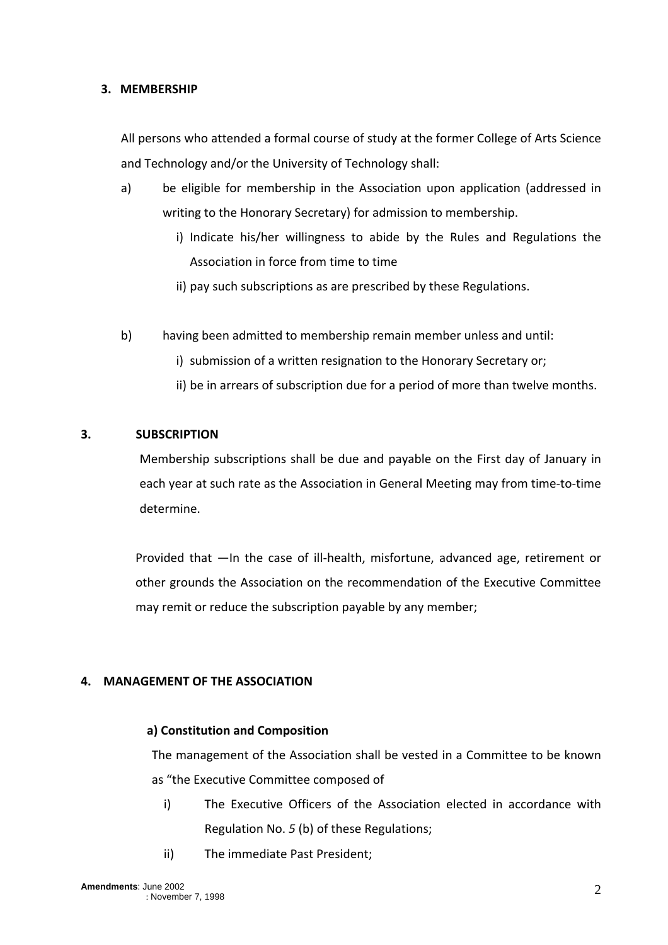## **3. MEMBERSHIP**

All persons who attended a formal course of study at the former College of Arts Science and Technology and/or the University of Technology shall:

- a) be eligible for membership in the Association upon application (addressed in writing to the Honorary Secretary) for admission to membership.
	- i) Indicate his/her willingness to abide by the Rules and Regulations the Association in force from time to time
	- ii) pay such subscriptions as are prescribed by these Regulations.
- b) having been admitted to membership remain member unless and until:
	- i) submission of a written resignation to the Honorary Secretary or;
	- ii) be in arrears of subscription due for a period of more than twelve months.

## **3. SUBSCRIPTION**

Membership subscriptions shall be due and payable on the First day of January in each year at such rate as the Association in General Meeting may from time-to-time determine.

Provided that —In the case of ill-health, misfortune, advanced age, retirement or other grounds the Association on the recommendation of the Executive Committee may remit or reduce the subscription payable by any member;

## **4. MANAGEMENT OF THE ASSOCIATION**

## **a) Constitution and Composition**

The management of the Association shall be vested in a Committee to be known as "the Executive Committee composed of

- i) The Executive Officers of the Association elected in accordance with Regulation No. *5* (b) of these Regulations;
- ii) The immediate Past President;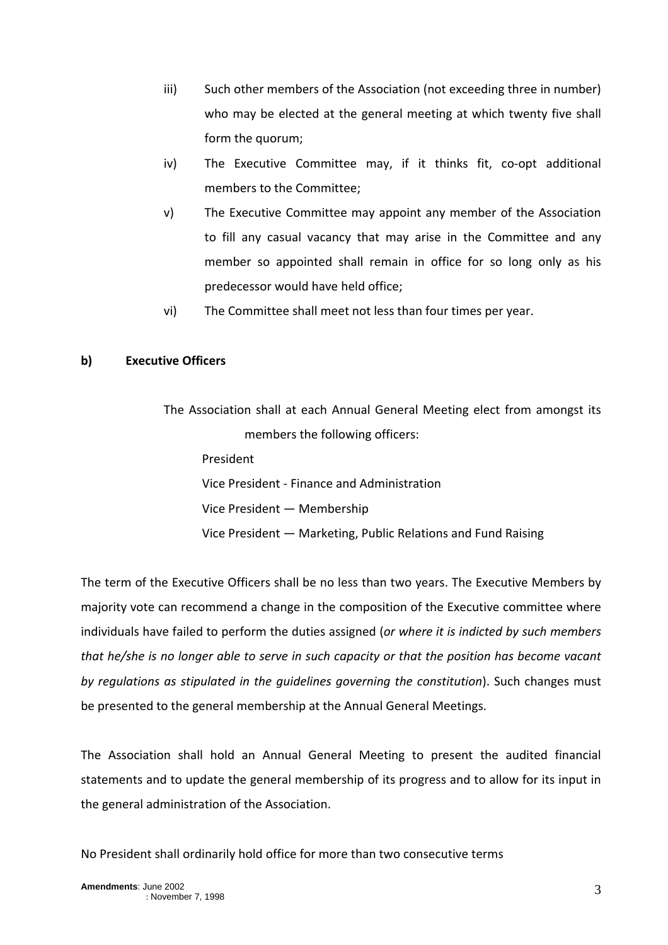- iii) Such other members of the Association (not exceeding three in number) who may be elected at the general meeting at which twenty five shall form the quorum;
- iv) The Executive Committee may, if it thinks fit, co-opt additional members to the Committee;
- v) The Executive Committee may appoint any member of the Association to fill any casual vacancy that may arise in the Committee and any member so appointed shall remain in office for so long only as his predecessor would have held office;
- vi) The Committee shall meet not less than four times per year.

## **b) Executive Officers**

The Association shall at each Annual General Meeting elect from amongst its members the following officers: President Vice President ‐ Finance and Administration Vice President — Membership Vice President — Marketing, Public Relations and Fund Raising

The term of the Executive Officers shall be no less than two years. The Executive Members by majority vote can recommend a change in the composition of the Executive committee where individuals have failed to perform the duties assigned (*or where it is indicted by such members that he/she is no longer able to serve in such capacity or that the position has become vacant by regulations as stipulated in the guidelines governing the constitution*). Such changes must be presented to the general membership at the Annual General Meetings.

The Association shall hold an Annual General Meeting to present the audited financial statements and to update the general membership of its progress and to allow for its input in the general administration of the Association.

No President shall ordinarily hold office for more than two consecutive terms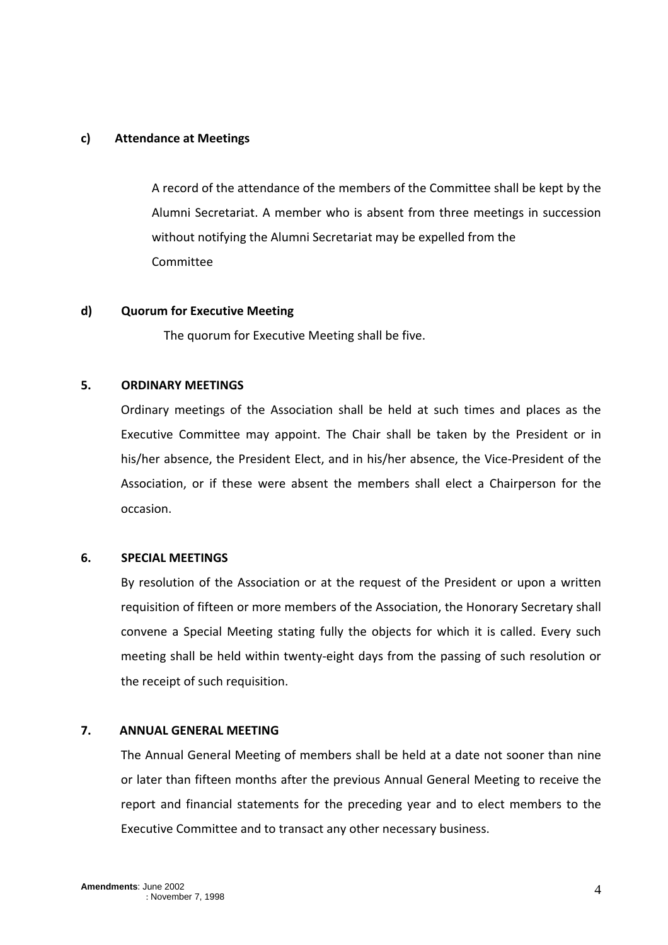### **c) Attendance at Meetings**

A record of the attendance of the members of the Committee shall be kept by the Alumni Secretariat. A member who is absent from three meetings in succession without notifying the Alumni Secretariat may be expelled from the Committee

#### **d) Quorum for Executive Meeting**

The quorum for Executive Meeting shall be five.

## **5. ORDINARY MEETINGS**

Ordinary meetings of the Association shall be held at such times and places as the Executive Committee may appoint. The Chair shall be taken by the President or in his/her absence, the President Elect, and in his/her absence, the Vice-President of the Association, or if these were absent the members shall elect a Chairperson for the occasion.

## **6. SPECIAL MEETINGS**

By resolution of the Association or at the request of the President or upon a written requisition of fifteen or more members of the Association, the Honorary Secretary shall convene a Special Meeting stating fully the objects for which it is called. Every such meeting shall be held within twenty‐eight days from the passing of such resolution or the receipt of such requisition.

#### **7. ANNUAL GENERAL MEETING**

The Annual General Meeting of members shall be held at a date not sooner than nine or later than fifteen months after the previous Annual General Meeting to receive the report and financial statements for the preceding year and to elect members to the Executive Committee and to transact any other necessary business.